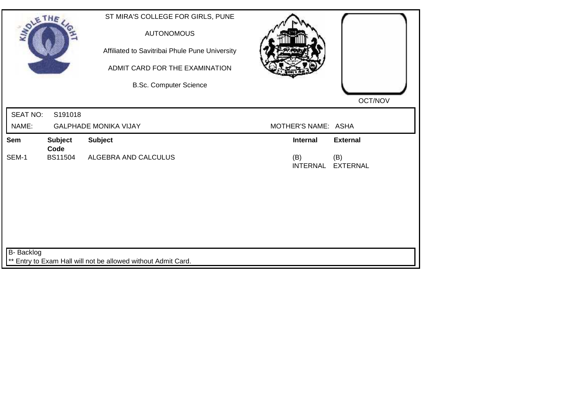|                   | THE                    | ST MIRA'S COLLEGE FOR GIRLS, PUNE<br><b>AUTONOMOUS</b><br>Affiliated to Savitribai Phule Pune University<br>ADMIT CARD FOR THE EXAMINATION |                        |                        |
|-------------------|------------------------|--------------------------------------------------------------------------------------------------------------------------------------------|------------------------|------------------------|
|                   |                        | <b>B.Sc. Computer Science</b>                                                                                                              |                        |                        |
| <b>SEAT NO:</b>   | S191018                |                                                                                                                                            |                        | OCT/NOV                |
| NAME:             |                        | <b>GALPHADE MONIKA VIJAY</b>                                                                                                               | MOTHER'S NAME: ASHA    |                        |
| Sem               | <b>Subject</b><br>Code | <b>Subject</b>                                                                                                                             | Internal               | <b>External</b>        |
| SEM-1             | <b>BS11504</b>         | ALGEBRA AND CALCULUS                                                                                                                       | (B)<br><b>INTERNAL</b> | (B)<br><b>EXTERNAL</b> |
|                   |                        |                                                                                                                                            |                        |                        |
|                   |                        |                                                                                                                                            |                        |                        |
|                   |                        |                                                                                                                                            |                        |                        |
|                   |                        |                                                                                                                                            |                        |                        |
| <b>B-</b> Backlog |                        |                                                                                                                                            |                        |                        |
|                   |                        | ** Entry to Exam Hall will not be allowed without Admit Card.                                                                              |                        |                        |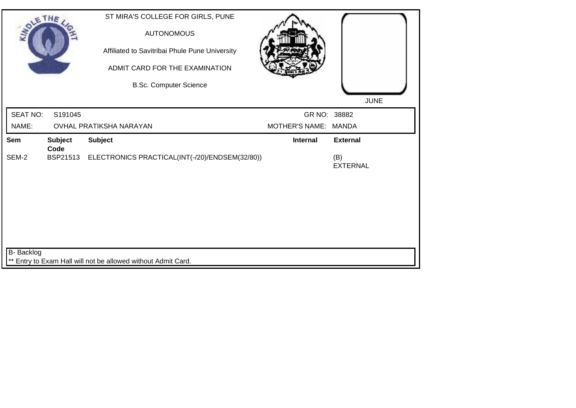| <b>SOLETHE</b>  |                | ST MIRA'S COLLEGE FOR GIRLS, PUNE<br><b>AUTONOMOUS</b><br>Affiliated to Savitribai Phule Pune University<br>ADMIT CARD FOR THE EXAMINATION<br><b>B.Sc. Computer Science</b> |                      | <b>JUNE</b>            |  |
|-----------------|----------------|-----------------------------------------------------------------------------------------------------------------------------------------------------------------------------|----------------------|------------------------|--|
| <b>SEAT NO:</b> | S191045        |                                                                                                                                                                             | GR NO: 38882         |                        |  |
| NAME:           |                | OVHAL PRATIKSHA NARAYAN                                                                                                                                                     | MOTHER'S NAME: MANDA |                        |  |
| Sem             | <b>Subject</b> | <b>Subject</b>                                                                                                                                                              | <b>Internal</b>      | <b>External</b>        |  |
| SEM-2           | Code           | BSP21513 ELECTRONICS PRACTICAL(INT(-/20)/ENDSEM(32/80))                                                                                                                     |                      | (B)<br><b>EXTERNAL</b> |  |
|                 |                |                                                                                                                                                                             |                      |                        |  |
|                 |                |                                                                                                                                                                             |                      |                        |  |
|                 |                |                                                                                                                                                                             |                      |                        |  |
|                 |                |                                                                                                                                                                             |                      |                        |  |
| B- Backlog      |                |                                                                                                                                                                             |                      |                        |  |
|                 |                | ** Entry to Exam Hall will not be allowed without Admit Card.                                                                                                               |                      |                        |  |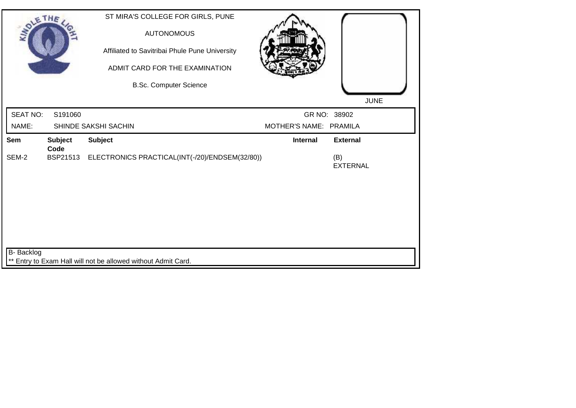| <b>SOLETHE</b>  |                        | ST MIRA'S COLLEGE FOR GIRLS, PUNE<br><b>AUTONOMOUS</b><br>Affiliated to Savitribai Phule Pune University<br>ADMIT CARD FOR THE EXAMINATION<br><b>B.Sc. Computer Science</b> |                        | <b>JUNE</b>            |  |
|-----------------|------------------------|-----------------------------------------------------------------------------------------------------------------------------------------------------------------------------|------------------------|------------------------|--|
| <b>SEAT NO:</b> | S191060                |                                                                                                                                                                             |                        | GR NO: 38902           |  |
| NAME:           |                        | SHINDE SAKSHI SACHIN                                                                                                                                                        | MOTHER'S NAME: PRAMILA |                        |  |
| Sem             | <b>Subject</b><br>Code | <b>Subject</b>                                                                                                                                                              | <b>Internal</b>        | <b>External</b>        |  |
| SEM-2           |                        | BSP21513 ELECTRONICS PRACTICAL(INT(-/20)/ENDSEM(32/80))                                                                                                                     |                        | (B)<br><b>EXTERNAL</b> |  |
|                 |                        |                                                                                                                                                                             |                        |                        |  |
|                 |                        |                                                                                                                                                                             |                        |                        |  |
|                 |                        |                                                                                                                                                                             |                        |                        |  |
|                 |                        |                                                                                                                                                                             |                        |                        |  |
| B- Backlog      |                        |                                                                                                                                                                             |                        |                        |  |
|                 |                        | ** Entry to Exam Hall will not be allowed without Admit Card.                                                                                                               |                        |                        |  |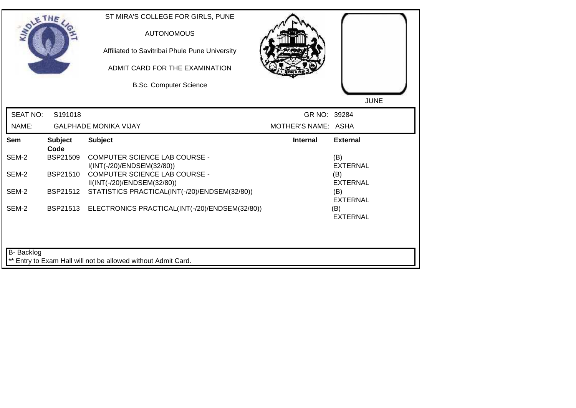|                 | <b>THE</b>             | ST MIRA'S COLLEGE FOR GIRLS, PUNE<br><b>AUTONOMOUS</b><br>Affiliated to Savitribai Phule Pune University<br>ADMIT CARD FOR THE EXAMINATION<br><b>B.Sc. Computer Science</b> |                     | <b>JUNE</b>            |
|-----------------|------------------------|-----------------------------------------------------------------------------------------------------------------------------------------------------------------------------|---------------------|------------------------|
| <b>SEAT NO:</b> | S191018                |                                                                                                                                                                             | GR NO: 39284        |                        |
| NAME:           |                        | <b>GALPHADE MONIKA VIJAY</b>                                                                                                                                                | MOTHER'S NAME: ASHA |                        |
| Sem             | <b>Subject</b><br>Code | <b>Subject</b>                                                                                                                                                              | <b>Internal</b>     | <b>External</b>        |
| SEM-2           | <b>BSP21509</b>        | <b>COMPUTER SCIENCE LAB COURSE -</b><br>I(INT(-/20)/ENDSEM(32/80))                                                                                                          |                     | (B)<br><b>EXTERNAL</b> |
| SEM-2           | BSP21510               | <b>COMPUTER SCIENCE LAB COURSE -</b><br>II(INT(-/20)/ENDSEM(32/80))                                                                                                         |                     | (B)<br><b>EXTERNAL</b> |
| SEM-2           | BSP21512               | STATISTICS PRACTICAL(INT(-/20)/ENDSEM(32/80))                                                                                                                               |                     | (B)<br><b>EXTERNAL</b> |
| SEM-2           |                        | BSP21513 ELECTRONICS PRACTICAL(INT(-/20)/ENDSEM(32/80))                                                                                                                     |                     | (B)<br><b>EXTERNAL</b> |
| B- Backlog      |                        | ** Entry to Exam Hall will not be allowed without Admit Card.                                                                                                               |                     |                        |